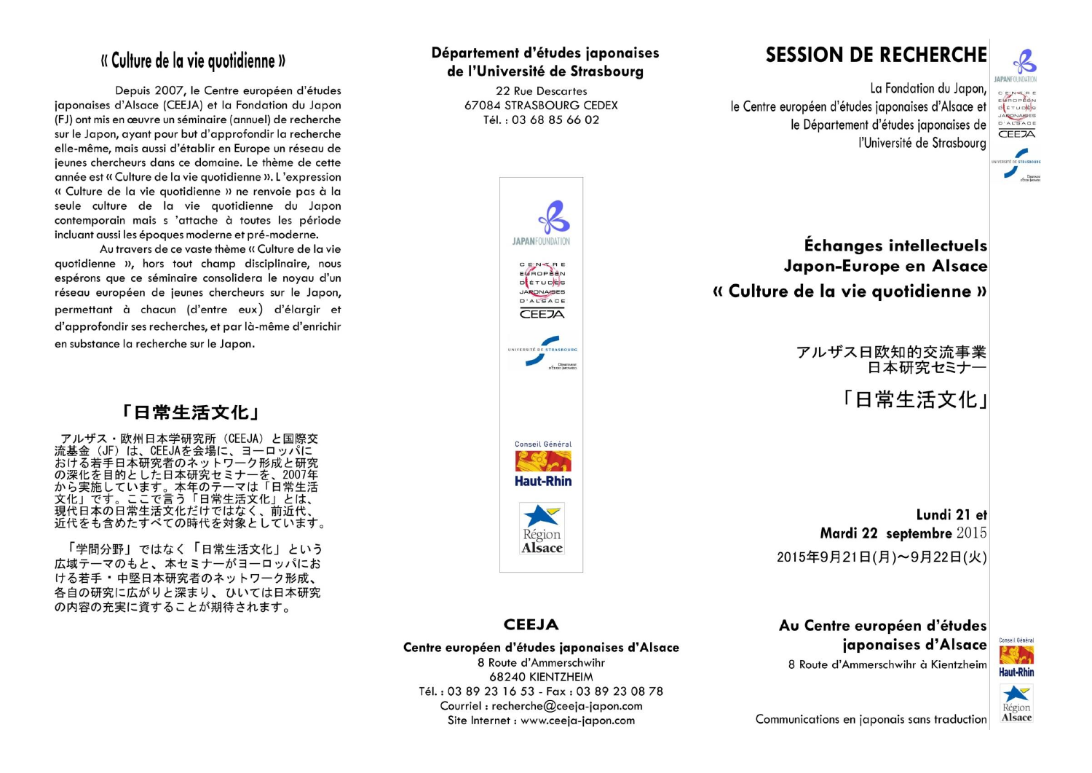### « Culture de la vie quotidienne »

Depuis 2007, le Centre européen d'études iaponaises d'Alsace (CEEJA) et la Fondation du Japon (FJ) ont mis en œuvre un séminaire (annuel) de recherche sur le Japon, avant pour but d'approfondir la recherche elle-même, mais aussi d'établir en Europe un réseau de jeunes chercheurs dans ce domaine. Le thème de cette année est « Culture de la vie auotidienne ». L'expression « Culture de la vie quotidienne » ne renvoie pas à la seule culture de la vie auotidienne du Japon contemporain mais s 'attache à toutes les période incluant aussi les époques moderne et pré-moderne.

Au travers de ce vaste thème « Culture de la vie quotidienne », hors tout champ disciplinaire, nous espérons que ce séminaire consolidera le noyau d'un réseau européen de jeunes chercheurs sur le Japon, permettant à chacun (d'entre eux) d'élargir et d'approfondir ses recherches, et par là-même d'enrichir en substance la recherche sur le Japon.

### 「日常生活文化」

アルザス·欧州日本学研究所 (CEEJA) と国際交 流基金 (JF) は、CEEJAを会場に、ヨーロッパに おける若手日本研究者のネットワーク形成と研究 。<br>の深化を目的とした日本研究セミナーを、2007年<br>から実施しています。本年のテーマは「日常生活 かっ<br>大化」です。ここで言う「日常生活文化」とは、<br>現代日本の日常生活文化だけではなく、前近代、 近代をも含めたすべての時代を対象としています。

「学問分野」ではなく「日常生活文化」という 広域テーマのもと、本セミナーがヨーロッパにお ける若手・中堅日本研究者のネットワーク形成、 各自の研究に広がりと深まり、ひいては日本研究 の内容の充実に資することが期待されます。

#### Département d'études iaponaises de l'Université de Strasboura

22 Rue Descartes 67084 STRASBOURG CEDEX Tél.: 03 68 85 66 02

ΙΔΡΑΝΕΩΠΝΩΔΤΙΩ

C E N-L R E<br>EVROPEEN

DETUDES

JARONAISES D'ALSACE

CEEZA

Conseil Général

**Haut-Rhin** 

Région

**Alsace** 

Dinaman

# **SESSION DE RECHERCHE**

La Fondation du Japon. le Centre européen d'études japonaises d'Alsace et le Département d'études iaponaises de l'Université de Strasboura



## Échanges intellectuels Japon-Europe en Alsace « Culture de la vie quotidienne »

アルザス日欧知的交流事業 日本研究セミナー

「日堂生活文化」

Lundi 21 et Mardi 22 septembre 2015 2015年9月21日(月)~9月22日(火)

#### **CEEJA**

Centre européen d'études japonaises d'Alsace 8 Route d'Ammerschwihr

68240 KIENTZHEIM Tél.: 03 89 23 16 53 - Fax: 03 89 23 08 78 Courriel : recherche@ceeja-japon.com Site Internet : www.ceeja-japon.com



8 Route d'Ammerschwihr à Kientzheim





Communications en japonais sans traduction